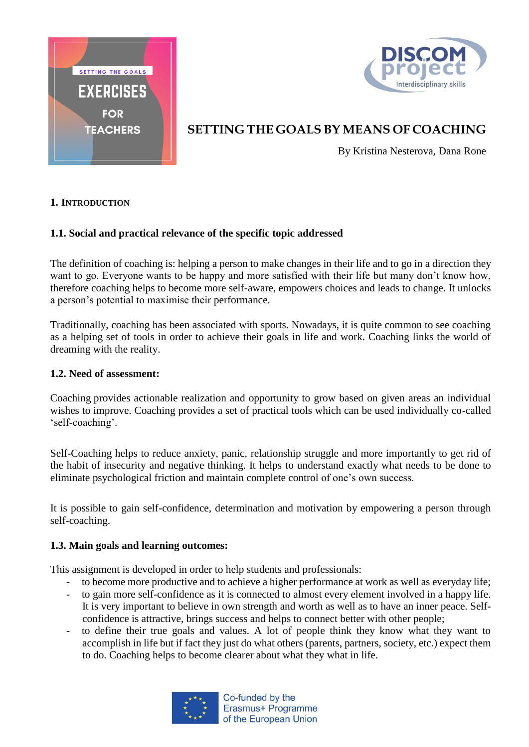



# **SETTING THE GOALS BY MEANS OF COACHING**

By Kristina Nesterova, Dana Rone

## **1. INTRODUCTION**

# **1.1. Social and practical relevance of the specific topic addressed**

The definition of coaching is: helping a person to make changes in their life and to go in a direction they want to go. Everyone wants to be happy and more satisfied with their life but many don't know how, therefore coaching helps to become more self-aware, empowers choices and leads to change. It unlocks a person's potential to maximise their performance.

Traditionally, coaching has been associated with sports. Nowadays, it is quite common to see coaching as a helping set of tools in order to achieve their goals in life and work. Coaching links the world of dreaming with the reality.

#### **1.2. Need of assessment:**

Coaching provides actionable realization and opportunity to grow based on given areas an individual wishes to improve. Coaching provides a set of practical tools which can be used individually co-called 'self-coaching'.

Self-Coaching helps to reduce anxiety, panic, relationship struggle and more importantly to get rid of the habit of insecurity and negative thinking. It helps to understand exactly what needs to be done to eliminate psychological friction and maintain complete control of one's own success.

It is possible to gain self-confidence, determination and motivation by empowering a person through self-coaching.

#### **1.3. Main goals and learning outcomes:**

This assignment is developed in order to help students and professionals:

- to become more productive and to achieve a higher performance at work as well as everyday life;
- to gain more self-confidence as it is connected to almost every element involved in a happy life. It is very important to believe in own strength and worth as well as to have an inner peace. Selfconfidence is attractive, brings success and helps to connect better with other people;
- to define their true goals and values. A lot of people think they know what they want to accomplish in life but if fact they just do what others (parents, partners, society, etc.) expect them to do. Coaching helps to become clearer about what they what in life.



Co-funded by the Erasmus+ Programme of the European Union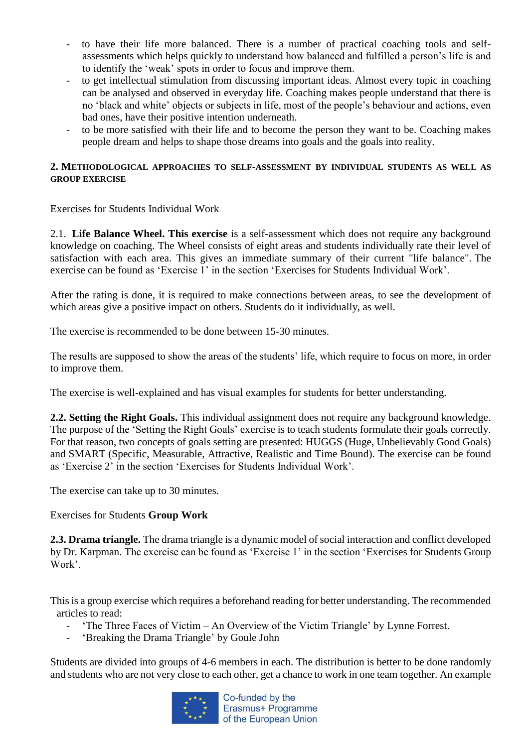- to have their life more balanced. There is a number of practical coaching tools and selfassessments which helps quickly to understand how balanced and fulfilled a person's life is and to identify the 'weak' spots in order to focus and improve them.
- to get intellectual stimulation from discussing important ideas. Almost every topic in coaching can be analysed and observed in everyday life. Coaching makes people understand that there is no 'black and white' objects or subjects in life, most of the people's behaviour and actions, even bad ones, have their positive intention underneath.
- to be more satisfied with their life and to become the person they want to be. Coaching makes people dream and helps to shape those dreams into goals and the goals into reality.

## **2. METHODOLOGICAL APPROACHES TO SELF-ASSESSMENT BY INDIVIDUAL STUDENTS AS WELL AS GROUP EXERCISE**

Exercises for Students Individual Work

2.1. **Life Balance Wheel. This exercise** is a self-assessment which does not require any background knowledge on coaching. The Wheel consists of eight areas and students individually rate their level of satisfaction with each area. This gives an immediate summary of their current "life balance". The exercise can be found as 'Exercise 1' in the section 'Exercises for Students Individual Work'.

After the rating is done, it is required to make connections between areas, to see the development of which areas give a positive impact on others. Students do it individually, as well.

The exercise is recommended to be done between 15-30 minutes.

The results are supposed to show the areas of the students' life, which require to focus on more, in order to improve them.

The exercise is well-explained and has visual examples for students for better understanding.

**2.2. Setting the Right Goals.** This individual assignment does not require any background knowledge. The purpose of the 'Setting the Right Goals' exercise is to teach students formulate their goals correctly. For that reason, two concepts of goals setting are presented: HUGGS (Huge, Unbelievably Good Goals) and SMART (Specific, Measurable, Attractive, Realistic and Time Bound). The exercise can be found as 'Exercise 2' in the section 'Exercises for Students Individual Work'.

The exercise can take up to 30 minutes.

Exercises for Students **Group Work**

**2.3. Drama triangle.** The drama triangle is a dynamic model of social interaction and conflict developed by Dr. Karpman. The exercise can be found as 'Exercise 1' in the section 'Exercises for Students Group Work'.

This is a group exercise which requires a beforehand reading for better understanding. The recommended articles to read:

- 'The Three Faces of Victim An Overview of the Victim Triangle' by [Lynne Forrest.](https://www.lynneforrest.com/author/lynneblog/)
- ['Breaking the Drama Triangle'](http://www.johngouletmft.com/Breaking_The_Drama_Triangle_Newest.pdf) by Goule John

Students are divided into groups of 4-6 members in each. The distribution is better to be done randomly and students who are not very close to each other, get a chance to work in one team together. An example

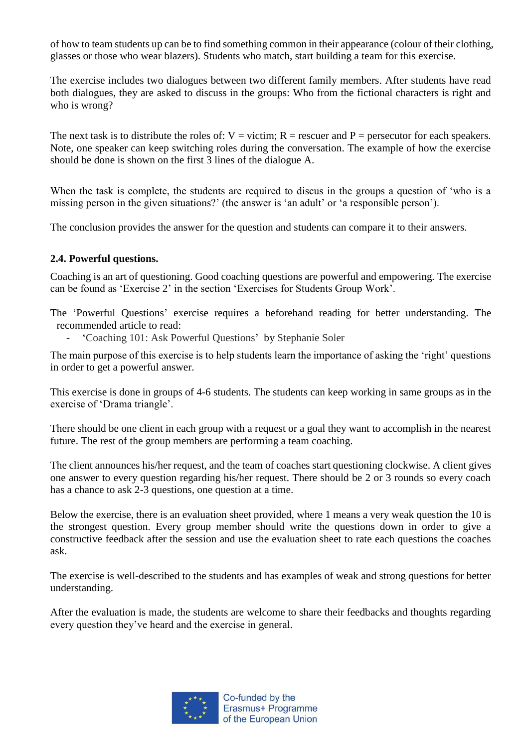of how to team students up can be to find something common in their appearance (colour of their clothing, glasses or those who wear blazers). Students who match, start building a team for this exercise.

The exercise includes two dialogues between two different family members. After students have read both dialogues, they are asked to discuss in the groups: Who from the fictional characters is right and who is wrong?

The next task is to distribute the roles of:  $V =$  victim;  $R =$  rescuer and  $P =$  persecutor for each speakers. Note, one speaker can keep switching roles during the conversation. The example of how the exercise should be done is shown on the first 3 lines of the dialogue A.

When the task is complete, the students are required to discus in the groups a question of 'who is a missing person in the given situations?' (the answer is 'an adult' or 'a responsible person').

The conclusion provides the answer for the question and students can compare it to their answers.

#### **2.4. Powerful questions.**

Coaching is an art of questioning. Good coaching questions are powerful and empowering. The exercise can be found as 'Exercise 2' in the section 'Exercises for Students Group Work'.

The 'Powerful Questions' exercise requires a beforehand reading for better understanding. The recommended article to read:

- 'Coaching 101: Ask Powerful Questions' by Stephanie Soler

The main purpose of this exercise is to help students learn the importance of asking the 'right' questions in order to get a powerful answer.

This exercise is done in groups of 4-6 students. The students can keep working in same groups as in the exercise of 'Drama triangle'.

There should be one client in each group with a request or a goal they want to accomplish in the nearest future. The rest of the group members are performing a team coaching.

The client announces his/her request, and the team of coaches start questioning clockwise. A client gives one answer to every question regarding his/her request. There should be 2 or 3 rounds so every coach has a chance to ask 2-3 questions, one question at a time.

Below the exercise, there is an evaluation sheet provided, where 1 means a very weak question the 10 is the strongest question. Every group member should write the questions down in order to give a constructive feedback after the session and use the evaluation sheet to rate each questions the coaches ask.

The exercise is well-described to the students and has examples of weak and strong questions for better understanding.

After the evaluation is made, the students are welcome to share their feedbacks and thoughts regarding every question they've heard and the exercise in general.

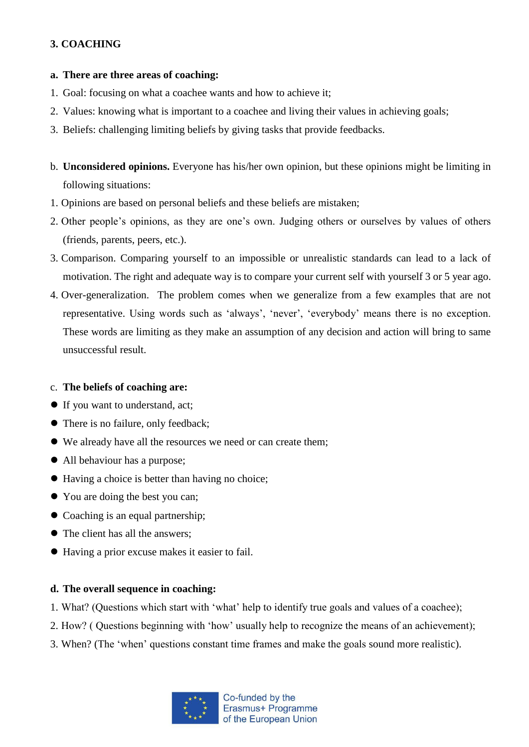# **3. COACHING**

## **a. There are three areas of coaching:**

- 1. Goal: focusing on what a coachee wants and how to achieve it;
- 2. Values: knowing what is important to a coachee and living their values in achieving goals;
- 3. Beliefs: challenging limiting beliefs by giving tasks that provide feedbacks.
- b. **Unconsidered opinions.** Everyone has his/her own opinion, but these opinions might be limiting in following situations:
- 1. Opinions are based on personal beliefs and these beliefs are mistaken;
- 2. Other people's opinions, as they are one's own. Judging others or ourselves by values of others (friends, parents, peers, etc.).
- 3. Comparison. Comparing yourself to an impossible or unrealistic standards can lead to a lack of motivation. The right and adequate way is to compare your current self with yourself 3 or 5 year ago.
- 4. Over-generalization. The problem comes when we generalize from a few examples that are not representative. Using words such as 'always', 'never', 'everybody' means there is no exception. These words are limiting as they make an assumption of any decision and action will bring to same unsuccessful result.

# c. **The beliefs of coaching are:**

- If you want to understand, act;
- There is no failure, only feedback;
- We already have all the resources we need or can create them;
- All behaviour has a purpose;
- Having a choice is better than having no choice;
- You are doing the best you can;
- Coaching is an equal partnership;
- The client has all the answers:
- Having a prior excuse makes it easier to fail.

## **d. The overall sequence in coaching:**

- 1. What? (Questions which start with 'what' help to identify true goals and values of a coachee);
- 2. How? ( Questions beginning with 'how' usually help to recognize the means of an achievement);
- 3. When? (The 'when' questions constant time frames and make the goals sound more realistic).